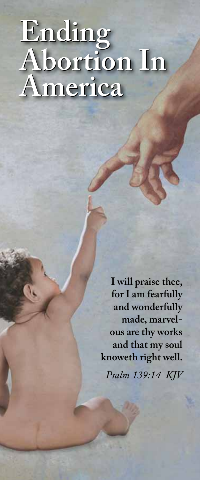# **Ending Abortion In America Ending Abortion In America**

**I will praise thee, for I am fearfully and wonderfully made, marvelous are thy works and that my soul knoweth right well.**

*Psalm 139:14 KJV*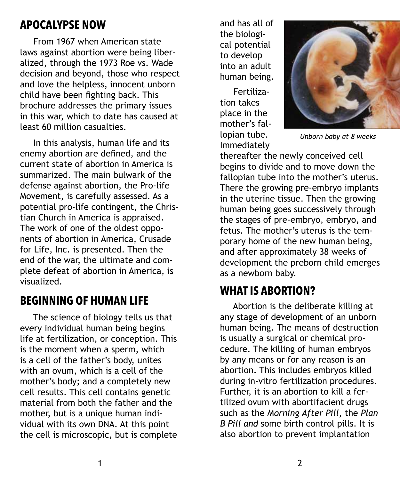# **APOCALYPSE NOW**

 From 1967 when American state laws against abortion were being liberalized, through the 1973 Roe vs. Wade decision and beyond, those who respect and love the helpless, innocent unborn child have been fighting back. This brochure addresses the primary issues in this war, which to date has caused at least 60 million casualties.

 In this analysis, human life and its enemy abortion are defined, and the current state of abortion in America is summarized. The main bulwark of the defense against abortion, the Pro-life Movement, is carefully assessed. As a potential pro-life contingent, the Christian Church in America is appraised. The work of one of the oldest opponents of abortion in America, Crusade for Life, Inc. is presented. Then the end of the war, the ultimate and complete defeat of abortion in America, is visualized.

## **BEGINNING OF HUMAN LIFE**

 The science of biology tells us that every individual human being begins life at fertilization, or conception. This is the moment when a sperm, which is a cell of the father's body, unites with an ovum, which is a cell of the mother's body; and a completely new cell results. This cell contains genetic material from both the father and the mother, but is a unique human individual with its own DNA. At this point the cell is microscopic, but is complete

and has all of the biological potential to develop into an adult human being.

 Fertilization takes place in the mother's fallopian tube. Immediately



*Unborn baby at 8 weeks*

thereafter the newly conceived cell begins to divide and to move down the fallopian tube into the mother's uterus. There the growing pre-embryo implants in the uterine tissue. Then the growing human being goes successively through the stages of pre-embryo, embryo, and fetus. The mother's uterus is the temporary home of the new human being, and after approximately 38 weeks of development the preborn child emerges as a newborn baby.

## **WHAT IS ABORTION?**

 Abortion is the deliberate killing at any stage of development of an unborn human being. The means of destruction is usually a surgical or chemical procedure. The killing of human embryos by any means or for any reason is an abortion. This includes embryos killed during in-vitro fertilization procedures. Further, it is an abortion to kill a fertilized ovum with abortifacient drugs such as the *Morning After Pill*, the *Plan B Pill and* some birth control pills. It is also abortion to prevent implantation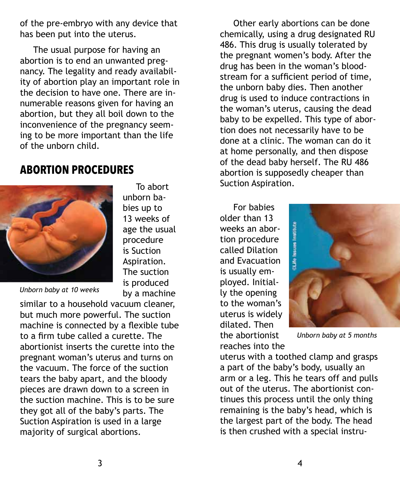of the pre-embryo with any device that has been put into the uterus.

 The usual purpose for having an abortion is to end an unwanted pregnancy. The legality and ready availability of abortion play an important role in the decision to have one. There are innumerable reasons given for having an abortion, but they all boil down to the inconvenience of the pregnancy seeming to be more important than the life of the unborn child.

#### **ABORTION PROCEDURES**



 To abort unborn babies up to 13 weeks of age the usual procedure is Suction Aspiration. The suction is produced by a machine

*Unborn baby at 10 weeks*

similar to a household vacuum cleaner, but much more powerful. The suction machine is connected by a flexible tube to a firm tube called a curette. The abortionist inserts the curette into the pregnant woman's uterus and turns on the vacuum. The force of the suction tears the baby apart, and the bloody pieces are drawn down to a screen in the suction machine. This is to be sure they got all of the baby's parts. The Suction Aspiration is used in a large majority of surgical abortions.

 Other early abortions can be done chemically, using a drug designated RU 486. This drug is usually tolerated by the pregnant women's body. After the drug has been in the woman's bloodstream for a sufficient period of time, the unborn baby dies. Then another drug is used to induce contractions in the woman's uterus, causing the dead baby to be expelled. This type of abortion does not necessarily have to be done at a clinic. The woman can do it at home personally, and then dispose of the dead baby herself. The RU 486 abortion is supposedly cheaper than Suction Aspiration.

 For babies older than 13 weeks an abortion procedure called Dilation and Evacuation is usually employed. Initially the opening to the woman's uterus is widely dilated. Then the abortionist reaches into the



*Unborn baby at 5 months*

uterus with a toothed clamp and grasps a part of the baby's body, usually an arm or a leg. This he tears off and pulls out of the uterus. The abortionist continues this process until the only thing remaining is the baby's head, which is the largest part of the body. The head is then crushed with a special instru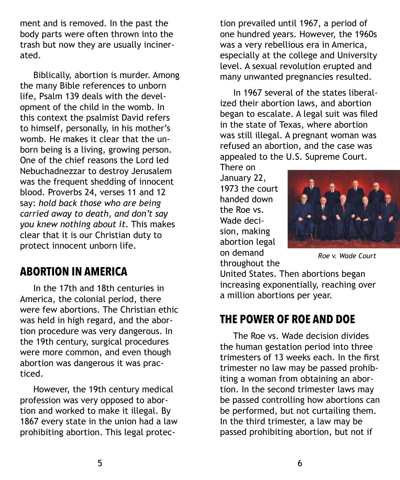ment and is removed. In the past the body parts were often thrown into the trash but now they are usually incinerated.

 Biblically, abortion is murder. Among the many Bible references to unborn life, Psalm 139 deals with the development of the child in the womb. In this context the psalmist David refers to himself, personally, in his mother's womb. He makes it clear that the unborn being is a living, growing person. One of the chief reasons the Lord led Nebuchadnezzar to destroy Jerusalem was the frequent shedding of innocent blood. Proverbs 24, verses 11 and 12 say: *hold back those who are being carried away to death, and don't say you knew nothing about it*. This makes clear that it is our Christian duty to protect innocent unborn life.

## **ABORTION IN AMERICA**

 In the 17th and 18th centuries in America, the colonial period, there were few abortions. The Christian ethic was held in high regard, and the abortion procedure was very dangerous. In the 19th century, surgical procedures were more common, and even though abortion was dangerous it was practiced.

 However, the 19th century medical profession was very opposed to abortion and worked to make it illegal. By 1867 every state in the union had a law prohibiting abortion. This legal protection prevailed until 1967, a period of one hundred years. However, the 1960s was a very rebellious era in America, especially at the college and University level. A sexual revolution erupted and many unwanted pregnancies resulted.

 In 1967 several of the states liberalized their abortion laws, and abortion began to escalate. A legal suit was filed in the state of Texas, where abortion was still illegal. A pregnant woman was refused an abortion, and the case was appealed to the U.S. Supreme Court.

There on January 22, 1973 the court handed down the Roe vs. Wade decision, making abortion legal on demand throughout the



*Roe v. Wade Court*

United States. Then abortions began increasing exponentially, reaching over a million abortions per year.

## **THE POWER OF ROE AND DOE**

 The Roe vs. Wade decision divides the human gestation period into three trimesters of 13 weeks each. In the first trimester no law may be passed prohibiting a woman from obtaining an abortion. In the second trimester laws may be passed controlling how abortions can be performed, but not curtailing them. In the third trimester, a law may be passed prohibiting abortion, but not if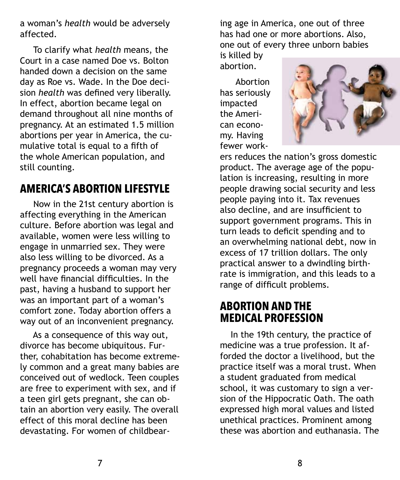a woman's *health* would be adversely affected.

 To clarify what *health* means, the Court in a case named Doe vs. Bolton handed down a decision on the same day as Roe vs. Wade. In the Doe decision *health* was defined very liberally. In effect, abortion became legal on demand throughout all nine months of pregnancy. At an estimated 1.5 million abortions per year in America, the cumulative total is equal to a fifth of the whole American population, and still counting.

## **AMERICA'S ABORTION LIFESTYLE**

 Now in the 21st century abortion is affecting everything in the American culture. Before abortion was legal and available, women were less willing to engage in unmarried sex. They were also less willing to be divorced. As a pregnancy proceeds a woman may very well have financial difficulties. In the past, having a husband to support her was an important part of a woman's comfort zone. Today abortion offers a way out of an inconvenient pregnancy.

 As a consequence of this way out, divorce has become ubiquitous. Further, cohabitation has become extremely common and a great many babies are conceived out of wedlock. Teen couples are free to experiment with sex, and if a teen girl gets pregnant, she can obtain an abortion very easily. The overall effect of this moral decline has been devastating. For women of childbearing age in America, one out of three has had one or more abortions. Also, one out of every three unborn babies is killed by

abortion.

 Abortion has seriously impacted the American economy. Having fewer work-



ers reduces the nation's gross domestic product. The average age of the population is increasing, resulting in more people drawing social security and less people paying into it. Tax revenues also decline, and are insufficient to support government programs. This in turn leads to deficit spending and to an overwhelming national debt, now in excess of 17 trillion dollars. The only practical answer to a dwindling birthrate is immigration, and this leads to a range of difficult problems.

## **ABORTION AND THE MEDICAL PROFESSION**

 In the 19th century, the practice of medicine was a true profession. It afforded the doctor a livelihood, but the practice itself was a moral trust. When a student graduated from medical school, it was customary to sign a version of the Hippocratic Oath. The oath expressed high moral values and listed unethical practices. Prominent among these was abortion and euthanasia. The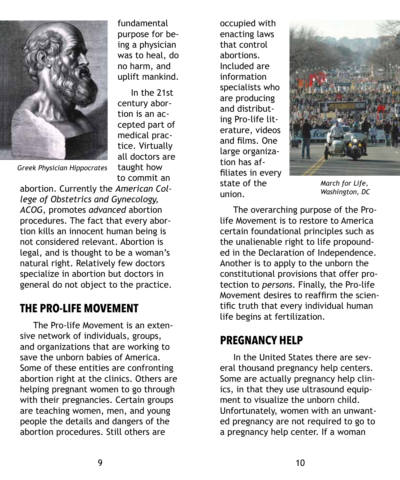

fundamental purpose for being a physician was to heal, do no harm, and uplift mankind.

 In the 21st century abortion is an accepted part of medical practice. Virtually all doctors are taught how to commit an

*Greek Physician Hippocrates*

abortion. Currently the *American College of Obstetrics and Gynecology, ACOG*, promotes *advanced* abortion procedures. The fact that every abortion kills an innocent human being is not considered relevant. Abortion is legal, and is thought to be a woman's natural right. Relatively few doctors specialize in abortion but doctors in general do not object to the practice.

#### **THE PRO-LIFE MOVEMENT**

 The Pro-life Movement is an extensive network of individuals, groups, and organizations that are working to save the unborn babies of America. Some of these entities are confronting abortion right at the clinics. Others are helping pregnant women to go through with their pregnancies. Certain groups are teaching women, men, and young people the details and dangers of the abortion procedures. Still others are

occupied with enacting laws that control abortions. Included are information specialists who are producing and distributing Pro-life literature, videos and films. One large organization has affiliates in every state of the union.



*March for Life, Washington, DC*

 The overarching purpose of the Prolife Movement is to restore to America certain foundational principles such as the unalienable right to life propounded in the Declaration of Independence. Another is to apply to the unborn the constitutional provisions that offer protection to *persons*. Finally, the Pro-life Movement desires to reaffirm the scientific truth that every individual human life begins at fertilization.

#### **PREGNANCY HELP**

 In the United States there are several thousand pregnancy help centers. Some are actually pregnancy help clinics, in that they use ultrasound equipment to visualize the unborn child. Unfortunately, women with an unwanted pregnancy are not required to go to a pregnancy help center. If a woman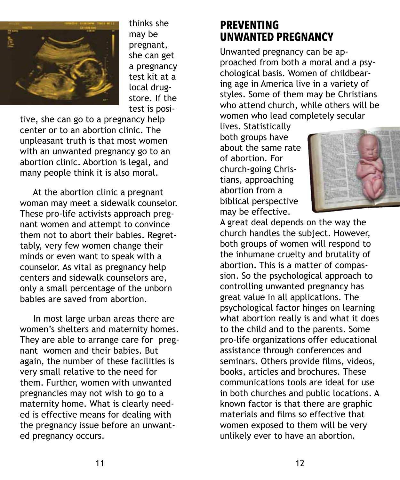

thinks she may be pregnant, she can get a pregnancy test kit at a local drugstore. If the test is posi-

tive, she can go to a pregnancy help center or to an abortion clinic. The unpleasant truth is that most women with an unwanted pregnancy go to an abortion clinic. Abortion is legal, and many people think it is also moral.

 At the abortion clinic a pregnant woman may meet a sidewalk counselor. These pro-life activists approach pregnant women and attempt to convince them not to abort their babies. Regrettably, very few women change their minds or even want to speak with a counselor. As vital as pregnancy help centers and sidewalk counselors are, only a small percentage of the unborn babies are saved from abortion.

 In most large urban areas there are women's shelters and maternity homes. They are able to arrange care for pregnant women and their babies. But again, the number of these facilities is very small relative to the need for them. Further, women with unwanted pregnancies may not wish to go to a maternity home. What is clearly needed is effective means for dealing with the pregnancy issue before an unwanted pregnancy occurs.

#### **PREVENTING UNWANTED PREGNANCY**

Unwanted pregnancy can be approached from both a moral and a psychological basis. Women of childbearing age in America live in a variety of styles. Some of them may be Christians who attend church, while others will be women who lead completely secular

lives. Statistically both groups have about the same rate of abortion. For church-going Christians, approaching abortion from a biblical perspective may be effective.



A great deal depends on the way the church handles the subject. However, both groups of women will respond to the inhumane cruelty and brutality of abortion. This is a matter of compassion. So the psychological approach to controlling unwanted pregnancy has great value in all applications. The psychological factor hinges on learning what abortion really is and what it does to the child and to the parents. Some pro-life organizations offer educational assistance through conferences and seminars. Others provide films, videos, books, articles and brochures. These communications tools are ideal for use in both churches and public locations. A known factor is that there are graphic materials and films so effective that women exposed to them will be very unlikely ever to have an abortion.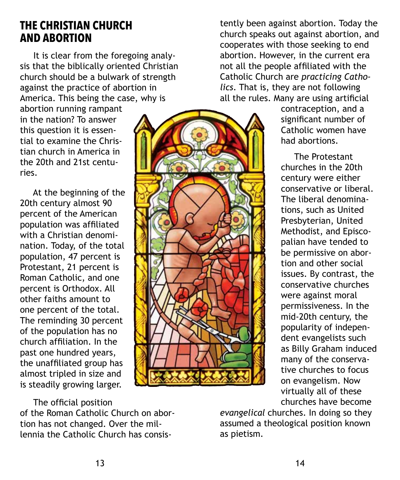## **THE CHRISTIAN CHURCH AND ABORTION**

 It is clear from the foregoing analysis that the biblically oriented Christian church should be a bulwark of strength against the practice of abortion in America. This being the case, why is

abortion running rampant in the nation? To answer this question it is essential to examine the Christian church in America in the 20th and 21st centuries.

 At the beginning of the 20th century almost 90 percent of the American population was affiliated with a Christian denomination. Today, of the total population, 47 percent is Protestant, 21 percent is Roman Catholic, and one percent is Orthodox. All other faiths amount to one percent of the total. The reminding 30 percent of the population has no church affiliation. In the past one hundred years, the unaffiliated group has almost tripled in size and is steadily growing larger.

 The official position of the Roman Catholic Church on abortion has not changed. Over the millennia the Catholic Church has consistently been against abortion. Today the church speaks out against abortion, and cooperates with those seeking to end abortion. However, in the current era not all the people affiliated with the Catholic Church are *practicing Catholics*. That is, they are not following all the rules. Many are using artificial

> contraception, and a significant number of Catholic women have had abortions.

 The Protestant churches in the 20th century were either conservative or liberal. The liberal denominations, such as United Presbyterian, United Methodist, and Episcopalian have tended to be permissive on abortion and other social issues. By contrast, the conservative churches were against moral permissiveness. In the mid-20th century, the popularity of independent evangelists such as Billy Graham induced many of the conservative churches to focus on evangelism. Now virtually all of these churches have become

*evangelical* churches. In doing so they assumed a theological position known as pietism.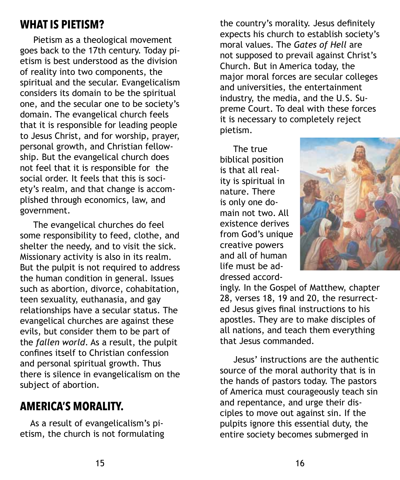# **WHAT IS PIETISM?**

 Pietism as a theological movement goes back to the 17th century. Today pietism is best understood as the division of reality into two components, the spiritual and the secular. Evangelicalism considers its domain to be the spiritual one, and the secular one to be society's domain. The evangelical church feels that it is responsible for leading people to Jesus Christ, and for worship, prayer, personal growth, and Christian fellowship. But the evangelical church does not feel that it is responsible for the social order. It feels that this is society's realm, and that change is accomplished through economics, law, and government.

 The evangelical churches do feel some responsibility to feed, clothe, and shelter the needy, and to visit the sick. Missionary activity is also in its realm. But the pulpit is not required to address the human condition in general. Issues such as abortion, divorce, cohabitation, teen sexuality, euthanasia, and gay relationships have a secular status. The evangelical churches are against these evils, but consider them to be part of the *fallen world*. As a result, the pulpit confines itself to Christian confession and personal spiritual growth. Thus there is silence in evangelicalism on the subject of abortion.

# **AMERICA'S MORALITY.**

 As a result of evangelicalism's pietism, the church is not formulating the country's morality. Jesus definitely expects his church to establish society's moral values. The *Gates of Hell* are not supposed to prevail against Christ's Church. But in America today, the major moral forces are secular colleges and universities, the entertainment industry, the media, and the U.S. Supreme Court. To deal with these forces it is necessary to completely reject pietism.

 The true biblical position is that all reality is spiritual in nature. There is only one domain not two. All existence derives from God's unique creative powers and all of human life must be addressed accord-



ingly. In the Gospel of Matthew, chapter 28, verses 18, 19 and 20, the resurrected Jesus gives final instructions to his apostles. They are to make disciples of all nations, and teach them everything that Jesus commanded.

 Jesus' instructions are the authentic source of the moral authority that is in the hands of pastors today. The pastors of America must courageously teach sin and repentance, and urge their disciples to move out against sin. If the pulpits ignore this essential duty, the entire society becomes submerged in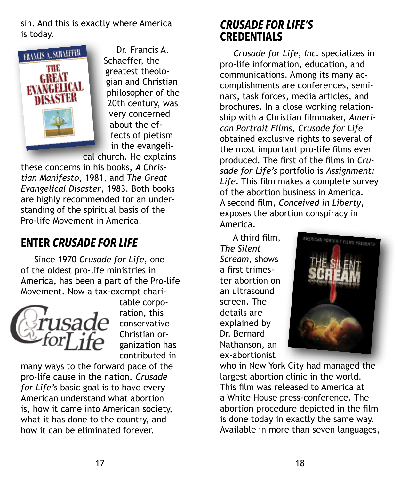sin. And this is exactly where America is today.



 Dr. Francis A. Schaeffer, the greatest theologian and Christian philosopher of the 20th century, was very concerned about the effects of pietism in the evangeli-

cal church. He explains

these concerns in his books, *A Christian Manifesto*, 1981, and *The Great Evangelical Disaster*, 1983. Both books are highly recommended for an understanding of the spiritual basis of the Pro-life Movement in America.

# **ENTER** *CRUSADE FOR LIFE*

 Since 1970 *Crusade for Life*, one of the oldest pro-life ministries in America, has been a part of the Pro-life Movement. Now a tax-exempt chari-



table corporation, this conservative Christian organization has contributed in

many ways to the forward pace of the pro-life cause in the nation. *Crusade for Life's* basic goal is to have every American understand what abortion is, how it came into American society, what it has done to the country, and how it can be eliminated forever.

## *CRUSADE FOR LIFE'S* **CREDENTIALS**

 *Crusade for Life, Inc*. specializes in pro-life information, education, and communications. Among its many accomplishments are conferences, seminars, task forces, media articles, and brochures. In a close working relationship with a Christian filmmaker, *American Portrait Films, Crusade for Life* obtained exclusive rights to several of the most important pro-life films ever produced. The first of the films in *Crusade for Life's* portfolio is *Assignment: Life*. This film makes a complete survey of the abortion business in America. A second film, *Conceived in Liberty*, exposes the abortion conspiracy in America.

 A third film, *The Silent Scream*, shows a first trimester abortion on an ultrasound screen. The details are explained by Dr. Bernard Nathanson, an ex-abortionist



who in New York City had managed the largest abortion clinic in the world. This film was released to America at a White House press-conference. The abortion procedure depicted in the film is done today in exactly the same way. Available in more than seven languages,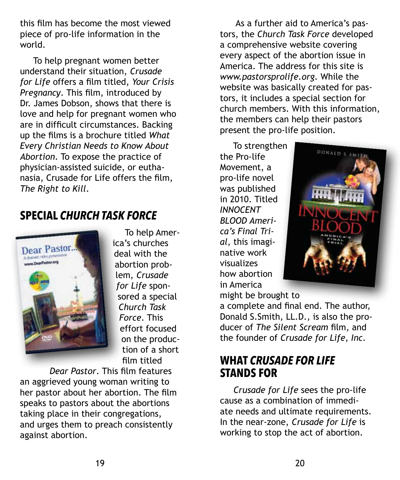this film has become the most viewed piece of pro-life information in the world.

 To help pregnant women better understand their situation, *Crusade for Life* offers a film titled, *Your Crisis Pregnancy*. This film, introduced by Dr. James Dobson, shows that there is love and help for pregnant women who are in difficult circumstances. Backing up the films is a brochure titled *What Every Christian Needs to Know About Abortion*. To expose the practice of physician-assisted suicide, or euthanasia, Crusade for Life offers the film, *The Right to Kill*.

# **SPECIAL** *CHURCH TASK FORCE*



 To help America's churches deal with the abortion problem, *Crusade for Life* sponsored a special *Church Task Force*. This effort focused on the production of a short film titled

*Dear Pastor*. This film features an aggrieved young woman writing to her pastor about her abortion. The film speaks to pastors about the abortions taking place in their congregations, and urges them to preach consistently against abortion.

 As a further aid to America's pastors, the *Church Task Force* developed a comprehensive website covering every aspect of the abortion issue in America. The address for this site is *www.pastorsprolife.org*. While the website was basically created for pastors, it includes a special section for church members. With this information, the members can help their pastors present the pro-life position.

 To strengthen the Pro-life Movement, a pro-life novel was published in 2010. Titled *INNOCENT BLOOD America's Final Trial*, this imaginative work visualizes how abortion in America might be brought to



a complete and final end. The author, Donald S.Smith, LL.D., is also the producer of *The Silent Scream* film, and the founder of *Crusade for Life, Inc*.

## **WHAT** *CRUSADE FOR LIFE* **STANDS FOR**

 *Crusade for Life* sees the pro-life cause as a combination of immediate needs and ultimate requirements. In the near-zone, *Crusade for Life* is working to stop the act of abortion.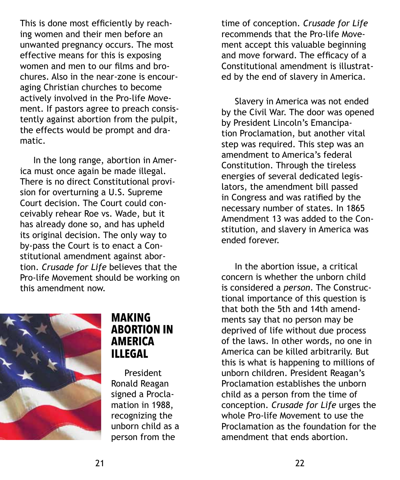This is done most efficiently by reaching women and their men before an unwanted pregnancy occurs. The most effective means for this is exposing women and men to our films and brochures. Also in the near-zone is encouraging Christian churches to become actively involved in the Pro-life Movement. If pastors agree to preach consistently against abortion from the pulpit, the effects would be prompt and dramatic.

 In the long range, abortion in America must once again be made illegal. There is no direct Constitutional provision for overturning a U.S. Supreme Court decision. The Court could conceivably rehear Roe vs. Wade, but it has already done so, and has upheld its original decision. The only way to by-pass the Court is to enact a Constitutional amendment against abortion. *Crusade for Life* believes that the Pro-life Movement should be working on this amendment now.



#### **MAKING ABORTION IN AMERICA ILLEGAL**

 President Ronald Reagan signed a Proclamation in 1988, recognizing the unborn child as a person from the

time of conception. *Crusade for Life* recommends that the Pro-life Movement accept this valuable beginning and move forward. The efficacy of a Constitutional amendment is illustrated by the end of slavery in America.

 Slavery in America was not ended by the Civil War. The door was opened by President Lincoln's Emancipation Proclamation, but another vital step was required. This step was an amendment to America's federal Constitution. Through the tireless energies of several dedicated legislators, the amendment bill passed in Congress and was ratified by the necessary number of states. In 1865 Amendment 13 was added to the Constitution, and slavery in America was ended forever.

 In the abortion issue, a critical concern is whether the unborn child is considered a *person*. The Constructional importance of this question is that both the 5th and 14th amendments say that no person may be deprived of life without due process of the laws. In other words, no one in America can be killed arbitrarily. But this is what is happening to millions of unborn children. President Reagan's Proclamation establishes the unborn child as a person from the time of conception. *Crusade for Life* urges the whole Pro-life Movement to use the Proclamation as the foundation for the amendment that ends abortion.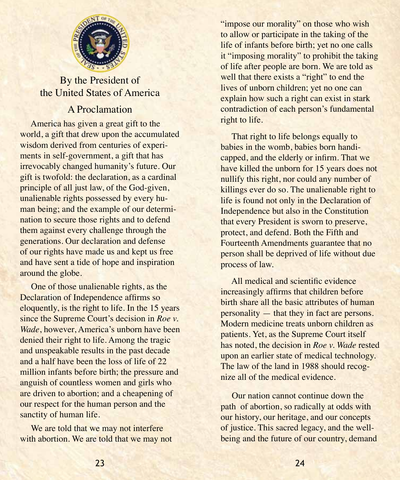![](_page_12_Picture_0.jpeg)

#### By the President of the United States of America

#### A Proclamation

 America has given a great gift to the world, a gift that drew upon the accumulated wisdom derived from centuries of experiments in self-government, a gift that has irrevocably changed humanity's future. Our gift is twofold: the declaration, as a cardinal principle of all just law, of the God-given, unalienable rights possessed by every human being; and the example of our determination to secure those rights and to defend them against every challenge through the generations. Our declaration and defense of our rights have made us and kept us free and have sent a tide of hope and inspiration around the globe.

 One of those unalienable rights, as the Declaration of Independence affirms so eloquently, is the right to life. In the 15 years since the Supreme Court's decision in *Roe v. Wade*, however, America's unborn have been denied their right to life. Among the tragic and unspeakable results in the past decade and a half have been the loss of life of 22 million infants before birth; the pressure and anguish of countless women and girls who are driven to abortion; and a cheapening of our respect for the human person and the sanctity of human life.

We are told that we may not interfere with abortion. We are told that we may not

"impose our morality" on those who wish to allow or participate in the taking of the life of infants before birth; yet no one calls it "imposing morality" to prohibit the taking of life after people are born. We are told as well that there exists a "right" to end the lives of unborn children; yet no one can explain how such a right can exist in stark contradiction of each person's fundamental right to life.

That right to life belongs equally to babies in the womb, babies born handicapped, and the elderly or infirm. That we have killed the unborn for 15 years does not nullify this right, nor could any number of killings ever do so. The unalienable right to life is found not only in the Declaration of Independence but also in the Constitution that every President is sworn to preserve, protect, and defend. Both the Fifth and Fourteenth Amendments guarantee that no person shall be deprived of life without due process of law.

 All medical and scientific evidence increasingly affirms that children before birth share all the basic attributes of human personality — that they in fact are persons. Modern medicine treats unborn children as patients. Yet, as the Supreme Court itself has noted, the decision in *Roe v. Wade* rested upon an earlier state of medical technology. The law of the land in 1988 should recognize all of the medical evidence.

 Our nation cannot continue down the path of abortion, so radically at odds with our history, our heritage, and our concepts of justice. This sacred legacy, and the wellbeing and the future of our country, demand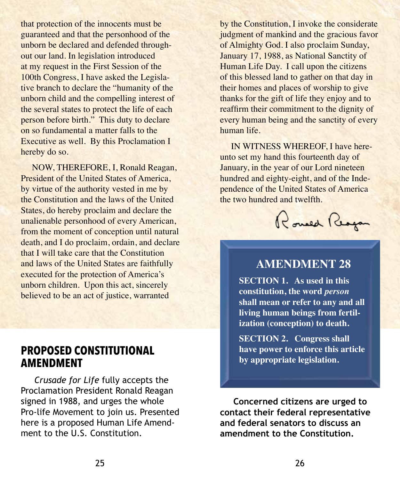that protection of the innocents must be guaranteed and that the personhood of the unborn be declared and defended throughout our land. In legislation introduced at my request in the First Session of the 100th Congress, I have asked the Legislative branch to declare the "humanity of the unborn child and the compelling interest of the several states to protect the life of each person before birth." This duty to declare on so fundamental a matter falls to the Executive as well. By this Proclamation I hereby do so.

 NOW, THEREFORE, I, Ronald Reagan, President of the United States of America, by virtue of the authority vested in me by the Constitution and the laws of the United States, do hereby proclaim and declare the unalienable personhood of every American, from the moment of conception until natural death, and I do proclaim, ordain, and declare that I will take care that the Constitution and laws of the United States are faithfully executed for the protection of America's unborn children. Upon this act, sincerely believed to be an act of justice, warranted

#### **PROPOSED CONSTITUTIONAL AMENDMENT**

 *Crusade for Life* fully accepts the Proclamation President Ronald Reagan signed in 1988, and urges the whole Pro-life Movement to join us. Presented here is a proposed Human Life Amendment to the U.S. Constitution.

by the Constitution, I invoke the considerate judgment of mankind and the gracious favor of Almighty God. I also proclaim Sunday, January 17, 1988, as National Sanctity of Human Life Day. I call upon the citizens of this blessed land to gather on that day in their homes and places of worship to give thanks for the gift of life they enjoy and to reaffirm their commitment to the dignity of every human being and the sanctity of every human life.

 IN WITNESS WHEREOF, I have hereunto set my hand this fourteenth day of January, in the year of our Lord nineteen hundred and eighty-eight, and of the Independence of the United States of America the two hundred and twelfth.

![](_page_13_Picture_6.jpeg)

#### **AMENDMENT 28**

**SECTION 1. As used in this constitution, the word** *person* **shall mean or refer to any and all living human beings from fertilization (conception) to death.**

**SECTION 2. Congress shall have power to enforce this article by appropriate legislation.**

 **Concerned citizens are urged to contact their federal representative and federal senators to discuss an amendment to the Constitution.**